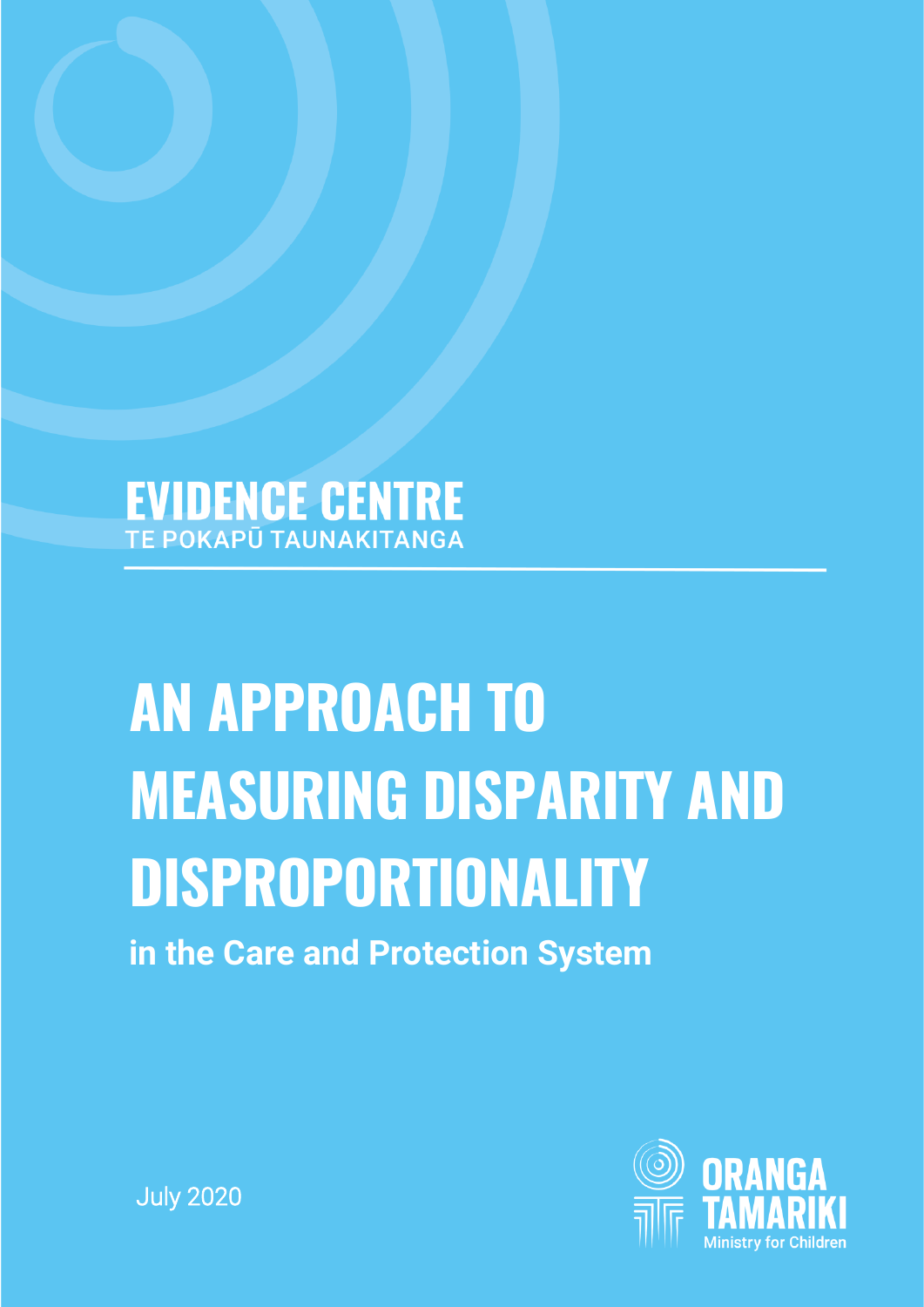# **EVIDENCE CENTRE**

# **AN APPROACH TO MEASURING DISPARITY AND DISPROPORTIONALITY**

**in the Care and Protection System**



July 2020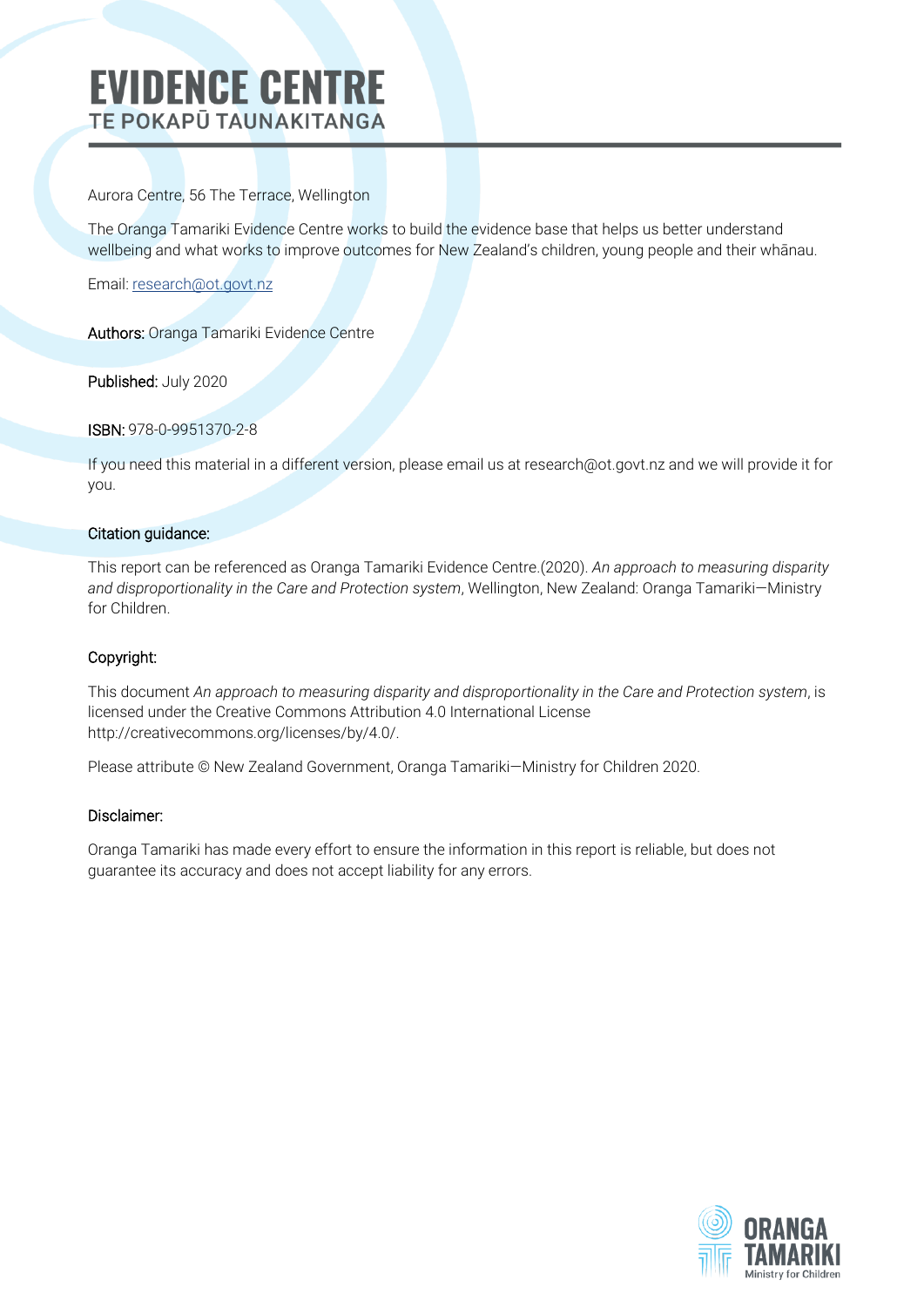### **EVIDENCE CENTRE TE POKAPŪ TAUNAKITANGA**

Aurora Centre, 56 The Terrace, Wellington

The Oranga Tamariki Evidence Centre works to build the evidence base that helps us better understand wellbeing and what works to improve outcomes for New Zealand's children, young people and their whānau.

Email: r[esearch@ot.govt.nz](mailto:research@ot.govt.nz)

Authors: Oranga Tamariki Evidence Centre

Published: July 2020

#### ISBN: 978-0-9951370-2-8

If you need this material in a different version, please email us at research@ot.govt.nz and we will provide it for you.

#### Citation guidance:

This report can be referenced as Oranga Tamariki Evidence Centre.(2020). *An approach to measuring disparity and disproportionality in the Care and Protection system*, Wellington, New Zealand: Oranga Tamariki—Ministry for Children.

#### Copyright:

This document *An approach to measuring disparity and disproportionality in the Care and Protection system*, is licensed under the Creative Commons Attribution 4.0 International License http://creativecommons.org/licenses/by/4.0/.

Please attribute © New Zealand Government, Oranga Tamariki—Ministry for Children 2020.

#### Disclaimer:

Oranga Tamariki has made every effort to ensure the information in this report is reliable, but does not guarantee its accuracy and does not accept liability for any errors.

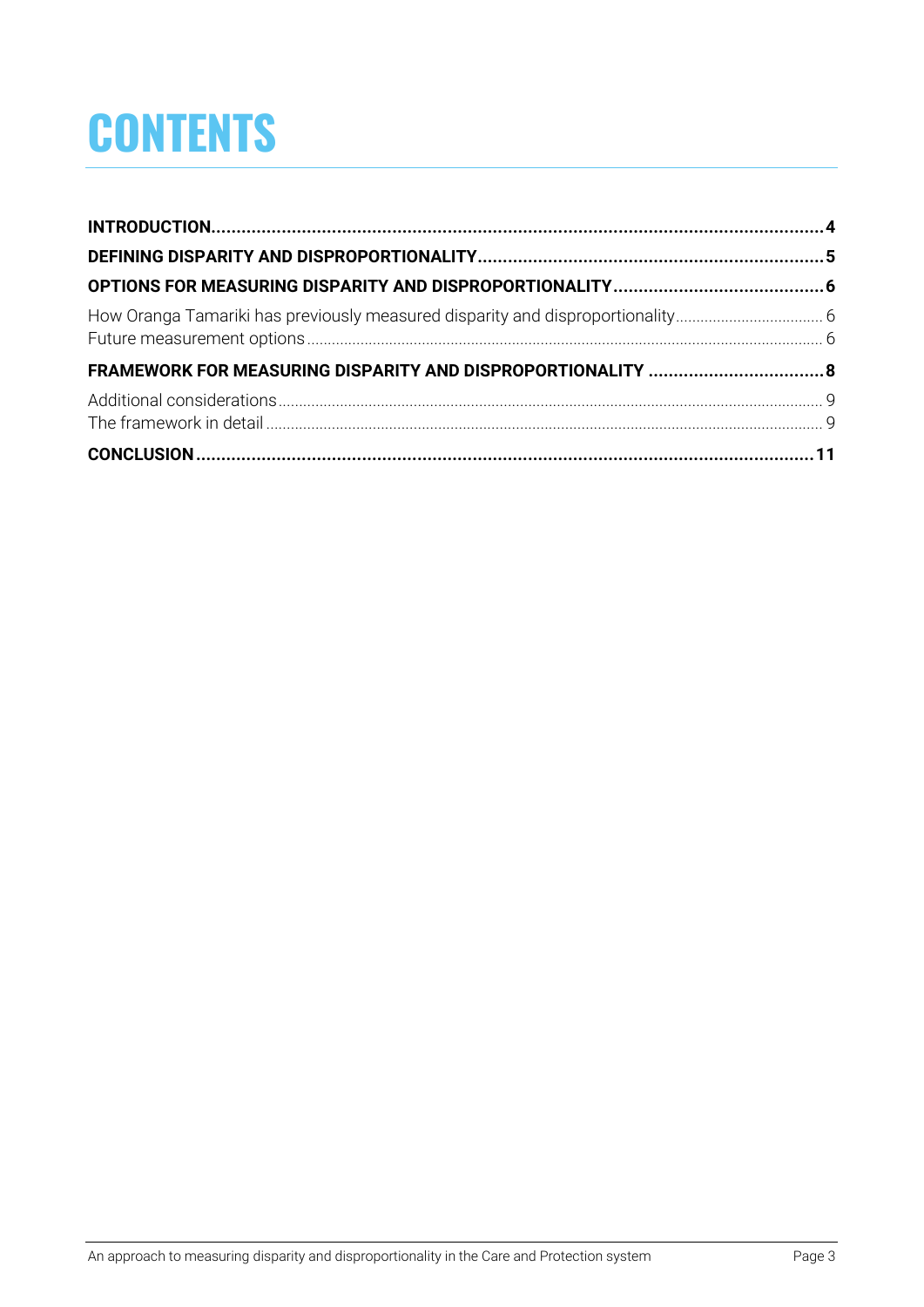## **CONTENTS**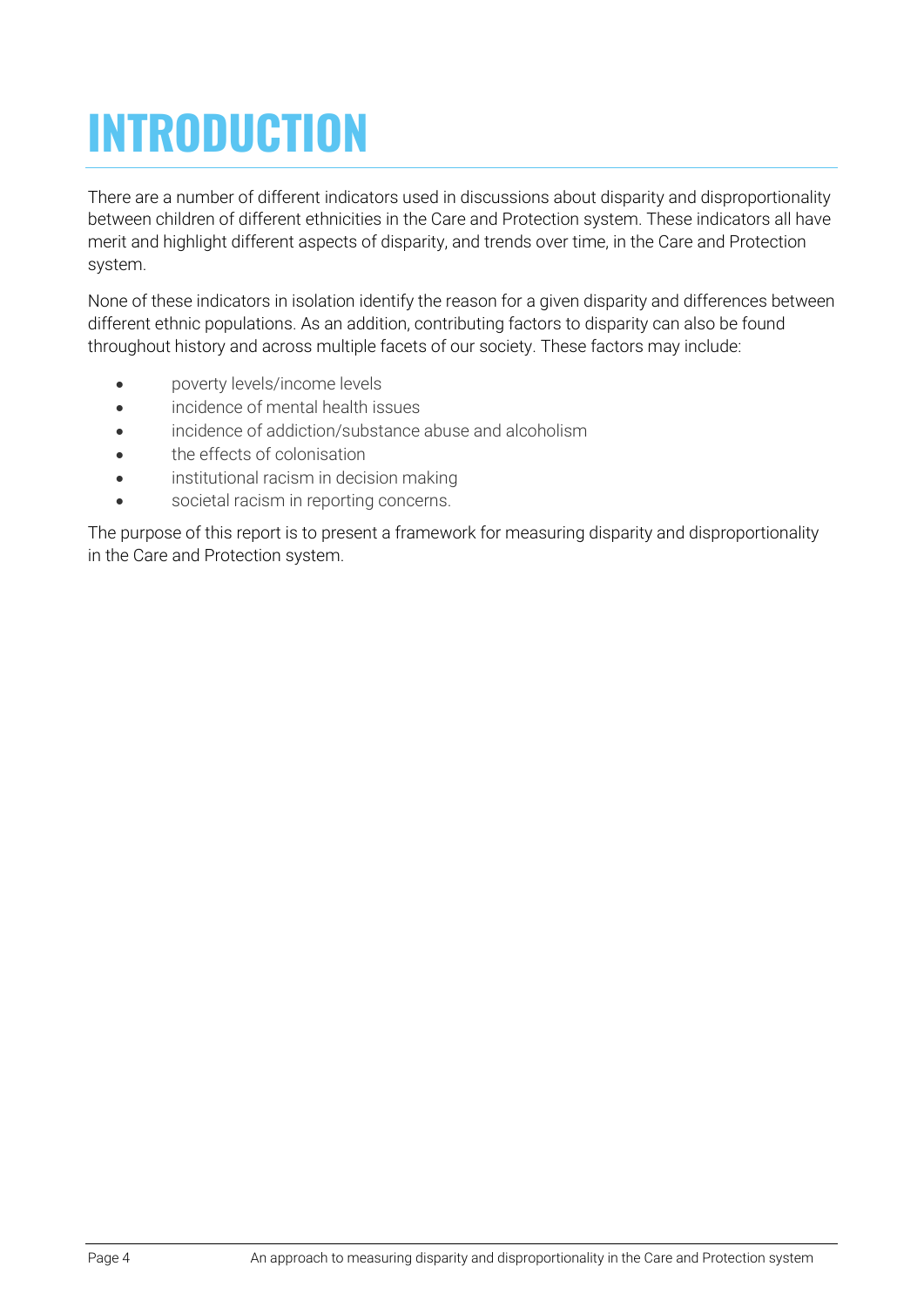# <span id="page-3-0"></span>**INTRODUCTION**

There are a number of different indicators used in discussions about disparity and disproportionality between children of different ethnicities in the Care and Protection system. These indicators all have merit and highlight different aspects of disparity, and trends over time, in the Care and Protection system.

None of these indicators in isolation identify the reason for a given disparity and differences between different ethnic populations. As an addition, contributing factors to disparity can also be found throughout history and across multiple facets of our society. These factors may include:

- poverty levels/income levels
- incidence of mental health issues
- incidence of addiction/substance abuse and alcoholism
- the effects of colonisation
- institutional racism in decision making
- societal racism in reporting concerns.

The purpose of this report is to present a framework for measuring disparity and disproportionality in the Care and Protection system.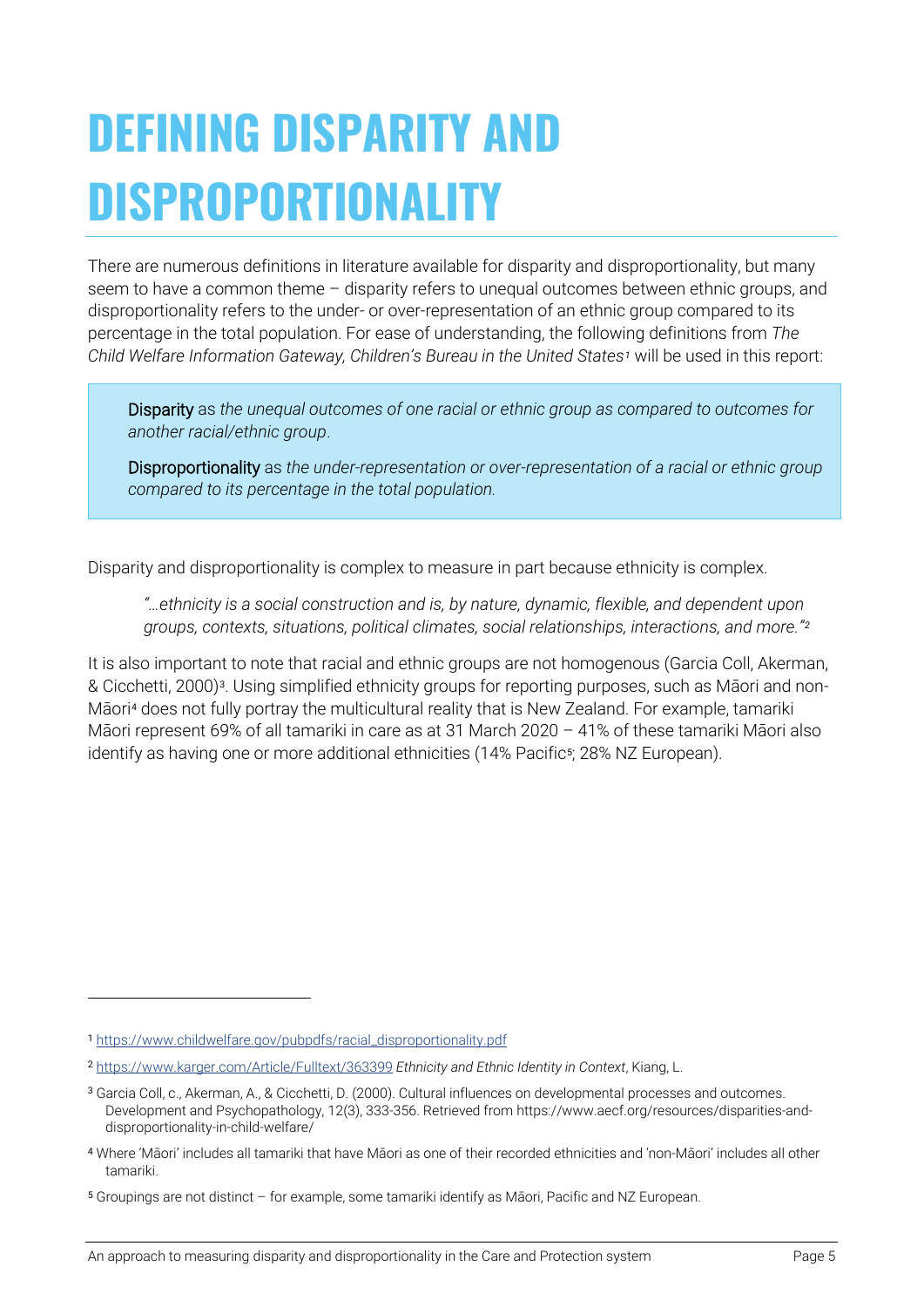## <span id="page-4-0"></span>**DEFINING DISPARITY AND DISPROPORTIONALITY**

There are numerous definitions in literature available for disparity and disproportionality, but many seem to have a common theme – disparity refers to unequal outcomes between ethnic groups, and disproportionality refers to the under- or over-representation of an ethnic group compared to its percentage in the total population. For ease of understanding, the following definitions from *The Child Welfare Information Gateway, Children's Bureau in the United States[1](#page-4-1)* will be used in this report:

Disparity as *the unequal outcomes of one racial or ethnic group as compared to outcomes for another racial/ethnic group*.

Disproportionality as *the under-representation or over-representation of a racial or ethnic group compared to its percentage in the total population.*

Disparity and disproportionality is complex to measure in part because ethnicity is complex.

*"…ethnicity is a social construction and is, by nature, dynamic, flexible, and dependent upon groups, contexts, situations, political climates, social relationships, interactions, and more."[2](#page-4-2)*

It is also important to note that racial and ethnic groups are not homogenous (Garcia Coll, Akerman, & Cicchetti, 2000)[3](#page-4-3). Using simplified ethnicity groups for reporting purposes, such as Māori and non-Māori[4](#page-4-4) does not fully portray the multicultural reality that is New Zealand. For example, tamariki Māori represent 69% of all tamariki in care as at 31 March 2020 – 41% of these tamariki Māori also identify as having one or more additional ethnicities (14% Pacific<sup>[5](#page-4-5)</sup>; 28% NZ European).

<span id="page-4-1"></span><sup>1</sup> [https://www.childwelfare.gov/pubpdfs/racial\\_disproportionality.pdf](https://www.childwelfare.gov/pubpdfs/racial_disproportionality.pdf)

<span id="page-4-2"></span><sup>2</sup> <https://www.karger.com/Article/Fulltext/363399> *Ethnicity and Ethnic Identity in Context*, Kiang, L.

<span id="page-4-3"></span><sup>3</sup> Garcia Coll, c., Akerman, A., & Cicchetti, D. (2000). Cultural influences on developmental processes and outcomes. Development and Psychopathology, 12(3), 333-356. Retrieved from https://www.aecf.org/resources/disparities-anddisproportionality-in-child-welfare/

<span id="page-4-4"></span><sup>4</sup> Where 'Māori' includes all tamariki that have Māori as one of their recorded ethnicities and 'non-Māori' includes all other tamariki.

<span id="page-4-5"></span><sup>5</sup> Groupings are not distinct – for example, some tamariki identify as Māori, Pacific and NZ European.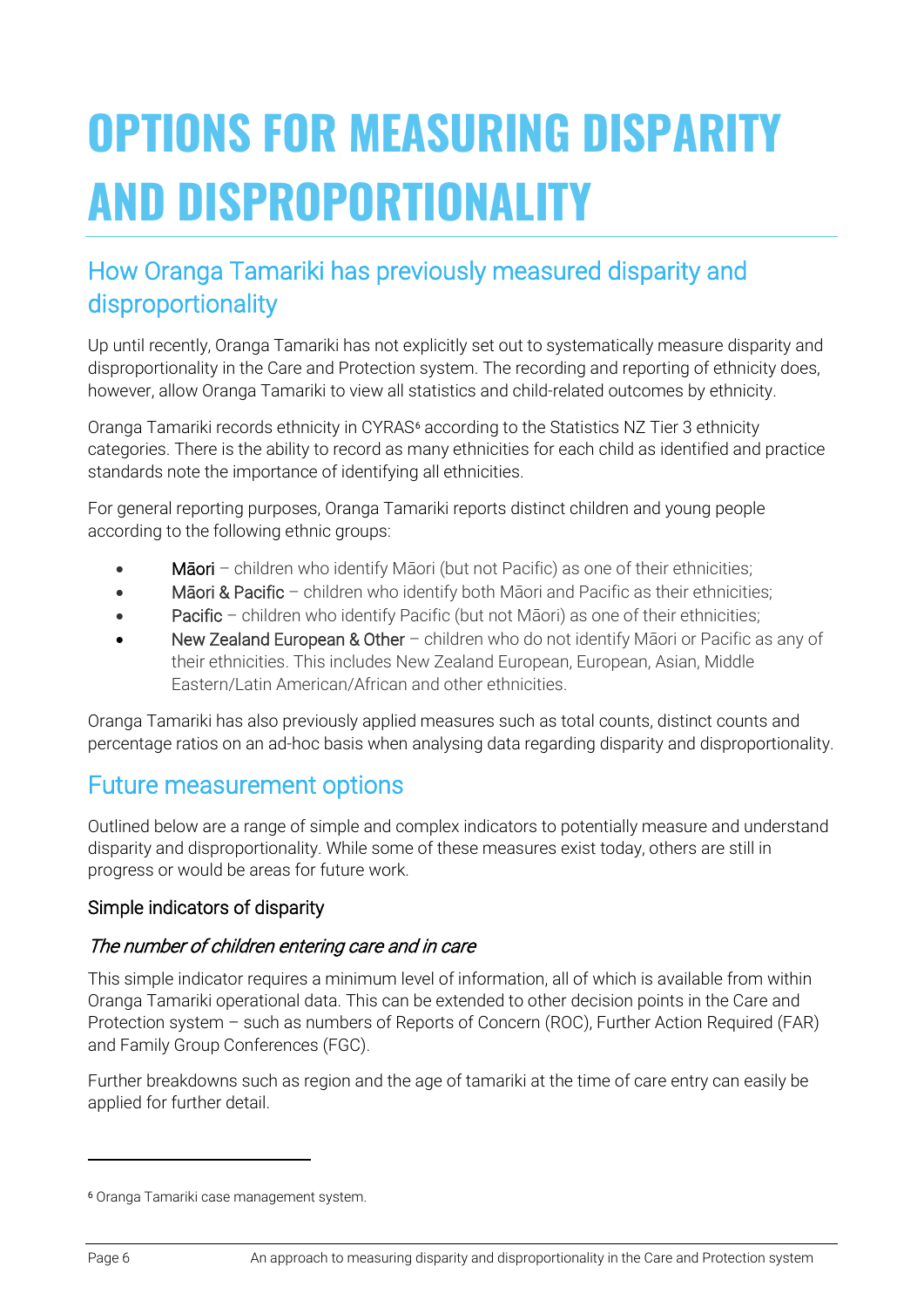# <span id="page-5-0"></span>**OPTIONS FOR MEASURING DISPARITY AND DISPROPORTIONALITY**

### <span id="page-5-1"></span>How Oranga Tamariki has previously measured disparity and disproportionality

Up until recently, Oranga Tamariki has not explicitly set out to systematically measure disparity and disproportionality in the Care and Protection system. The recording and reporting of ethnicity does, however, allow Oranga Tamariki to view all statistics and child-related outcomes by ethnicity.

Oranga Tamariki records ethnicity in CYRAS<sup>[6](#page-5-3)</sup> according to the Statistics NZ Tier 3 ethnicity categories. There is the ability to record as many ethnicities for each child as identified and practice standards note the importance of identifying all ethnicities.

For general reporting purposes, Oranga Tamariki reports distinct children and young people according to the following ethnic groups:

- Māori children who identify Māori (but not Pacific) as one of their ethnicities;
- Māori & Pacific children who identify both Māori and Pacific as their ethnicities;
- Pacific children who identify Pacific (but not Māori) as one of their ethnicities;
- New Zealand European & Other children who do not identify Maori or Pacific as any of their ethnicities. This includes New Zealand European, European, Asian, Middle Eastern/Latin American/African and other ethnicities.

Oranga Tamariki has also previously applied measures such as total counts, distinct counts and percentage ratios on an ad-hoc basis when analysing data regarding disparity and disproportionality.

### <span id="page-5-2"></span>Future measurement options

Outlined below are a range of simple and complex indicators to potentially measure and understand disparity and disproportionality. While some of these measures exist today, others are still in progress or would be areas for future work.

#### Simple indicators of disparity

#### The number of children entering care and in care

This simple indicator requires a minimum level of information, all of which is available from within Oranga Tamariki operational data. This can be extended to other decision points in the Care and Protection system – such as numbers of Reports of Concern (ROC), Further Action Required (FAR) and Family Group Conferences (FGC).

Further breakdowns such as region and the age of tamariki at the time of care entry can easily be applied for further detail.

<span id="page-5-3"></span><sup>6</sup> Oranga Tamariki case management system.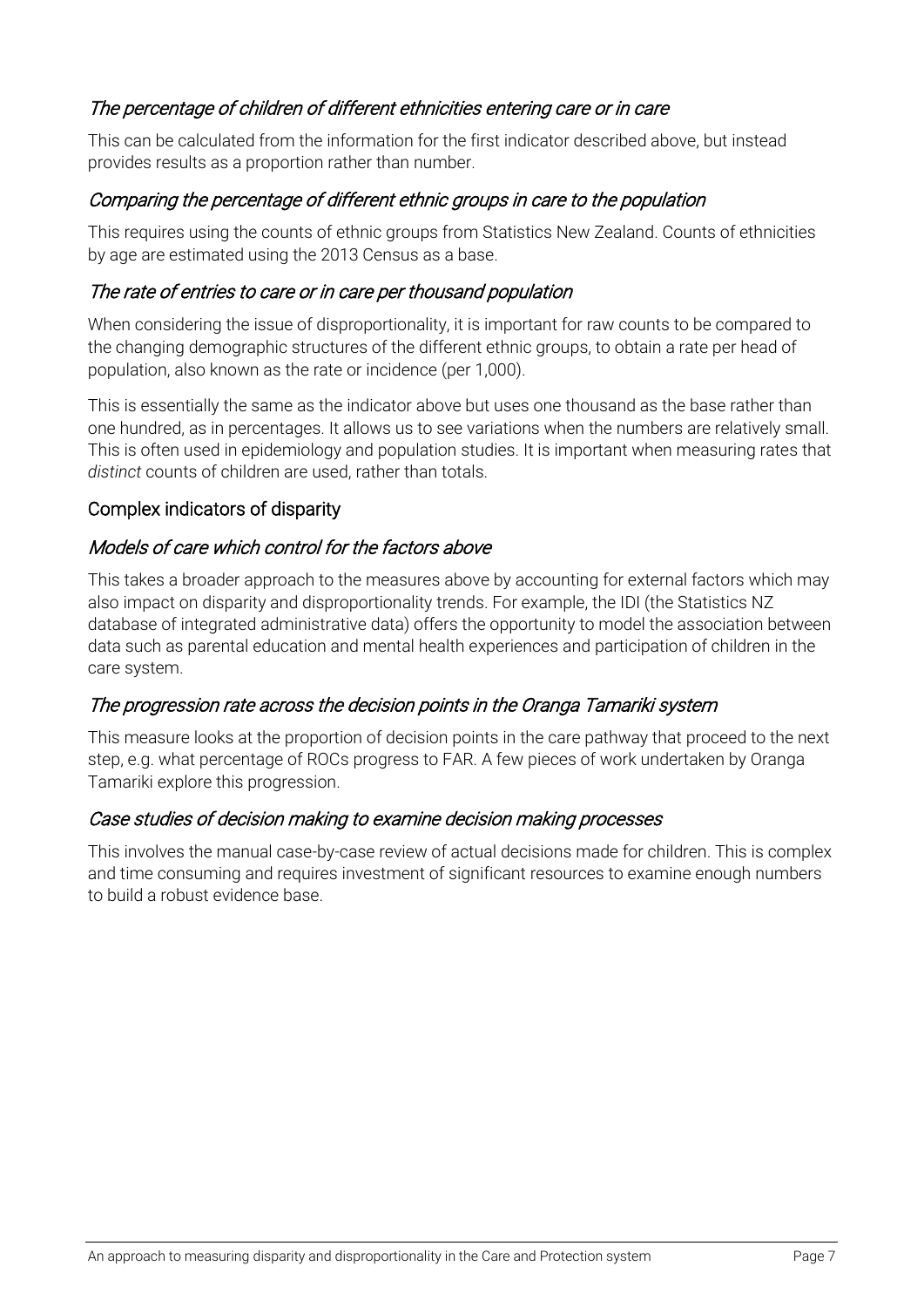#### The percentage of children of different ethnicities entering care or in care

This can be calculated from the information for the first indicator described above, but instead provides results as a proportion rather than number.

#### Comparing the percentage of different ethnic groups in care to the population

This requires using the counts of ethnic groups from Statistics New Zealand. Counts of ethnicities by age are estimated using the 2013 Census as a base.

#### The rate of entries to care or in care per thousand population

When considering the issue of disproportionality, it is important for raw counts to be compared to the changing demographic structures of the different ethnic groups, to obtain a rate per head of population, also known as the rate or incidence (per 1,000).

This is essentially the same as the indicator above but uses one thousand as the base rather than one hundred, as in percentages. It allows us to see variations when the numbers are relatively small. This is often used in epidemiology and population studies. It is important when measuring rates that *distinct* counts of children are used, rather than totals.

#### Complex indicators of disparity

#### Models of care which control for the factors above

This takes a broader approach to the measures above by accounting for external factors which may also impact on disparity and disproportionality trends. For example, the IDI (the Statistics NZ database of integrated administrative data) offers the opportunity to model the association between data such as parental education and mental health experiences and participation of children in the care system.

#### The progression rate across the decision points in the Oranga Tamariki system

This measure looks at the proportion of decision points in the care pathway that proceed to the next step, e.g. what percentage of ROCs progress to FAR. A few pieces of work undertaken by Oranga Tamariki explore this progression.

#### Case studies of decision making to examine decision making processes

This involves the manual case-by-case review of actual decisions made for children. This is complex and time consuming and requires investment of significant resources to examine enough numbers to build a robust evidence base.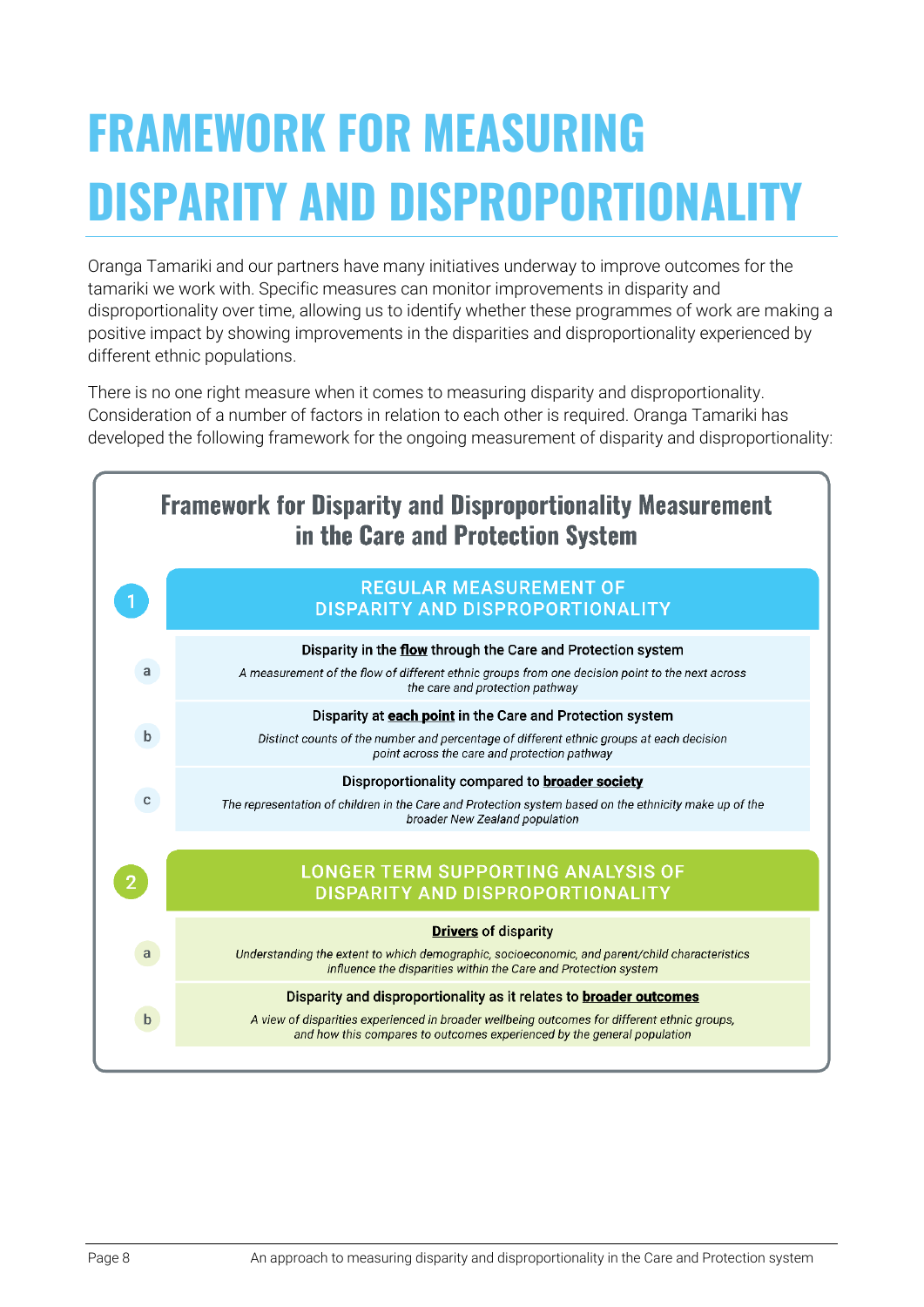# <span id="page-7-0"></span>**FRAMEWORK FOR MEASURING DISPARITY AND DISPROPORTIONALITY**

Oranga Tamariki and our partners have many initiatives underway to improve outcomes for the tamariki we work with. Specific measures can monitor improvements in disparity and disproportionality over time, allowing us to identify whether these programmes of work are making a positive impact by showing improvements in the disparities and disproportionality experienced by different ethnic populations.

There is no one right measure when it comes to measuring disparity and disproportionality. Consideration of a number of factors in relation to each other is required. Oranga Tamariki has developed the following framework for the ongoing measurement of disparity and disproportionality:

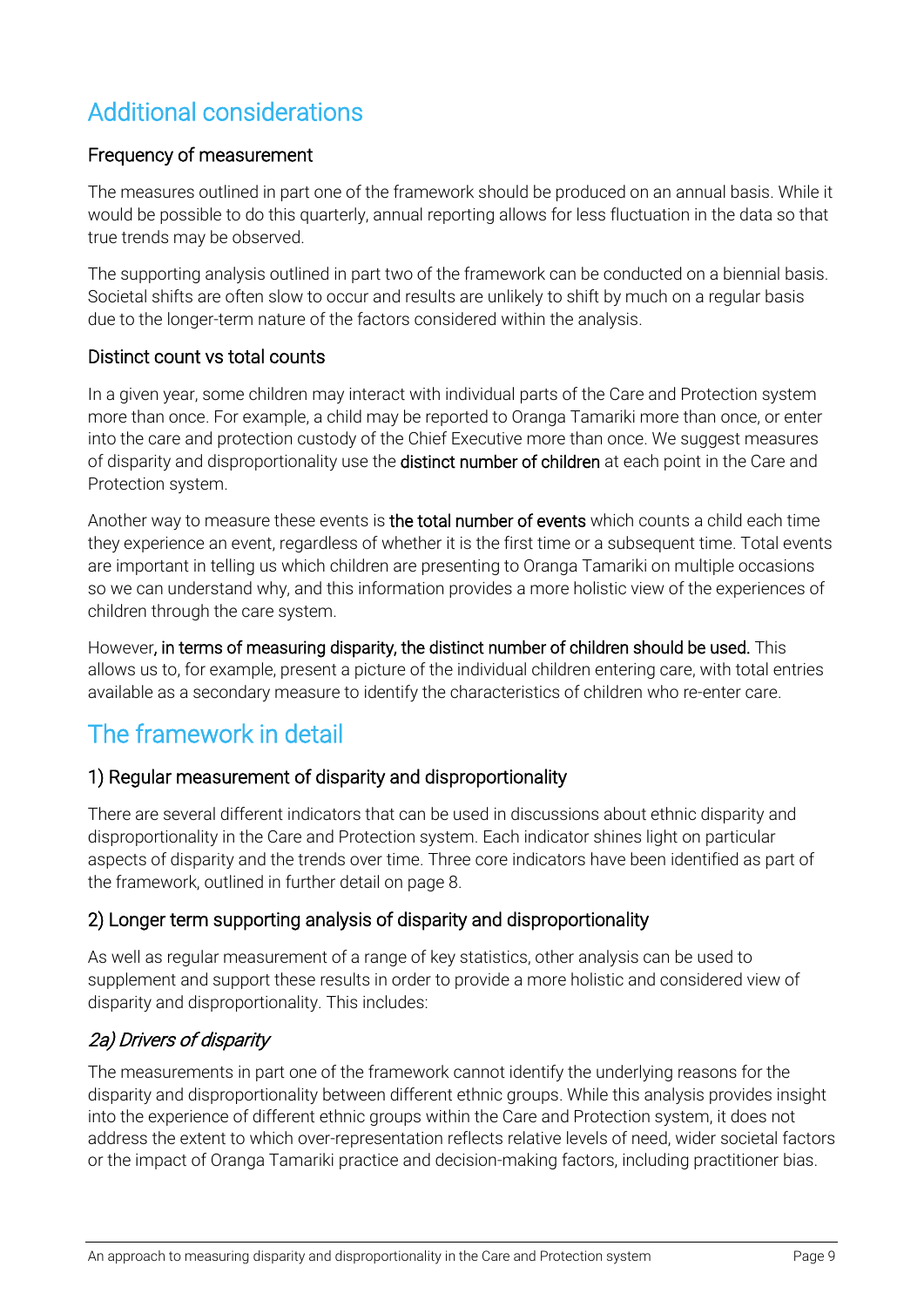### <span id="page-8-0"></span>Additional considerations

#### Frequency of measurement

The measures outlined in part one of the framework should be produced on an annual basis. While it would be possible to do this quarterly, annual reporting allows for less fluctuation in the data so that true trends may be observed.

The supporting analysis outlined in part two of the framework can be conducted on a biennial basis. Societal shifts are often slow to occur and results are unlikely to shift by much on a regular basis due to the longer-term nature of the factors considered within the analysis.

#### Distinct count vs total counts

In a given year, some children may interact with individual parts of the Care and Protection system more than once. For example, a child may be reported to Oranga Tamariki more than once, or enter into the care and protection custody of the Chief Executive more than once. We suggest measures of disparity and disproportionality use the **distinct number of children** at each point in the Care and Protection system.

Another way to measure these events is the total number of events which counts a child each time they experience an event, regardless of whether it is the first time or a subsequent time. Total events are important in telling us which children are presenting to Oranga Tamariki on multiple occasions so we can understand why, and this information provides a more holistic view of the experiences of children through the care system.

However, in terms of measuring disparity, the distinct number of children should be used. This allows us to, for example, present a picture of the individual children entering care, with total entries available as a secondary measure to identify the characteristics of children who re-enter care.

### <span id="page-8-1"></span>The framework in detail

#### 1) Regular measurement of disparity and disproportionality

There are several different indicators that can be used in discussions about ethnic disparity and disproportionality in the Care and Protection system. Each indicator shines light on particular aspects of disparity and the trends over time. Three core indicators have been identified as part of the framework, outlined in further detail on page 8.

#### 2) Longer term supporting analysis of disparity and disproportionality

As well as regular measurement of a range of key statistics, other analysis can be used to supplement and support these results in order to provide a more holistic and considered view of disparity and disproportionality. This includes:

#### 2a) Drivers of disparity

The measurements in part one of the framework cannot identify the underlying reasons for the disparity and disproportionality between different ethnic groups. While this analysis provides insight into the experience of different ethnic groups within the Care and Protection system, it does not address the extent to which over-representation reflects relative levels of need, wider societal factors or the impact of Oranga Tamariki practice and decision-making factors, including practitioner bias.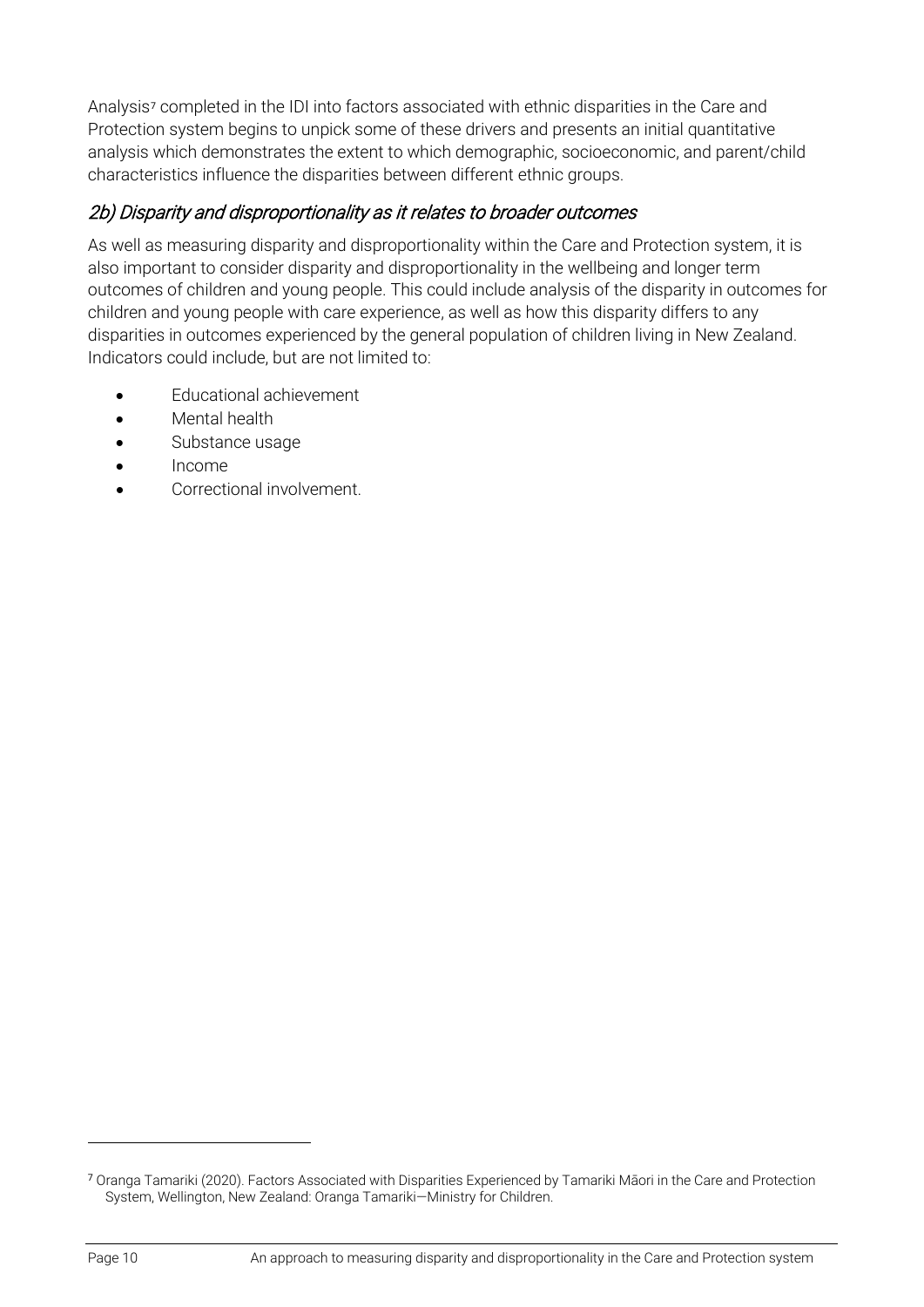Analysis<sup>[7](#page-9-0)</sup> completed in the IDI into factors associated with ethnic disparities in the Care and Protection system begins to unpick some of these drivers and presents an initial quantitative analysis which demonstrates the extent to which demographic, socioeconomic, and parent/child characteristics influence the disparities between different ethnic groups.

#### 2b) Disparity and disproportionality as it relates to broader outcomes

As well as measuring disparity and disproportionality within the Care and Protection system, it is also important to consider disparity and disproportionality in the wellbeing and longer term outcomes of children and young people. This could include analysis of the disparity in outcomes for children and young people with care experience, as well as how this disparity differs to any disparities in outcomes experienced by the general population of children living in New Zealand. Indicators could include, but are not limited to:

- Educational achievement
- Mental health
- Substance usage
- Income
- Correctional involvement.

<span id="page-9-0"></span><sup>7</sup> Oranga Tamariki (2020). Factors Associated with Disparities Experienced by Tamariki Māori in the Care and Protection System, Wellington, New Zealand: Oranga Tamariki—Ministry for Children.